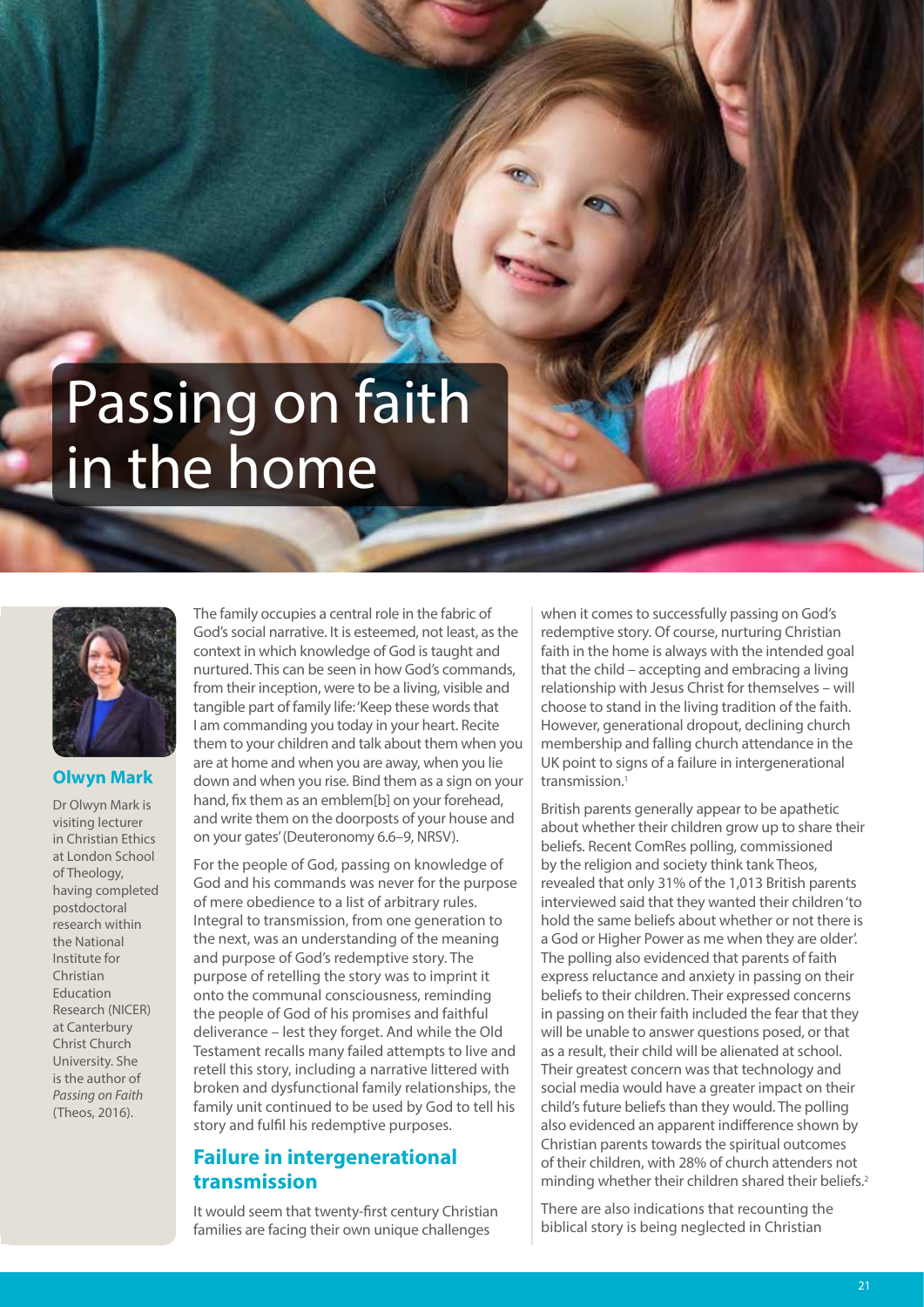# Passing on faith in the home



#### **Olwyn Mark**

Dr Olwyn Mark is visiting lecturer in Christian Ethics at London School of Theology, having completed postdoctoral research within the National Institute for Christian Education Research (NICER) at Canterbury Christ Church University. She is the author of *Passing on Faith* (Theos, 2016).

The family occupies a central role in the fabric of God's social narrative. It is esteemed, not least, as the context in which knowledge of God is taught and nurtured. This can be seen in how God's commands, from their inception, were to be a living, visible and tangible part of family life: 'Keep these words that I am commanding you today in your heart. Recite them to your children and talk about them when you are at home and when you are away, when you lie down and when you rise. Bind them as a sign on your hand, fix them as an emblem[b] on your forehead, and write them on the doorposts of your house and on your gates' (Deuteronomy 6.6–9, NRSV).

For the people of God, passing on knowledge of God and his commands was never for the purpose of mere obedience to a list of arbitrary rules. Integral to transmission, from one generation to the next, was an understanding of the meaning and purpose of God's redemptive story. The purpose of retelling the story was to imprint it onto the communal consciousness, reminding the people of God of his promises and faithful deliverance – lest they forget. And while the Old Testament recalls many failed attempts to live and retell this story, including a narrative littered with broken and dysfunctional family relationships, the family unit continued to be used by God to tell his story and fulfil his redemptive purposes.

# **Failure in intergenerational transmission**

It would seem that twenty-first century Christian families are facing their own unique challenges

when it comes to successfully passing on God's redemptive story. Of course, nurturing Christian faith in the home is always with the intended goal that the child – accepting and embracing a living relationship with Jesus Christ for themselves – will choose to stand in the living tradition of the faith. However, generational dropout, declining church membership and falling church attendance in the UK point to signs of a failure in intergenerational transmission.1

British parents generally appear to be apathetic about whether their children grow up to share their beliefs. Recent ComRes polling, commissioned by the religion and society think tank Theos, revealed that only 31% of the 1,013 British parents interviewed said that they wanted their children 'to hold the same beliefs about whether or not there is a God or Higher Power as me when they are older'. The polling also evidenced that parents of faith express reluctance and anxiety in passing on their beliefs to their children. Their expressed concerns in passing on their faith included the fear that they will be unable to answer questions posed, or that as a result, their child will be alienated at school. Their greatest concern was that technology and social media would have a greater impact on their child's future beliefs than they would. The polling also evidenced an apparent indifference shown by Christian parents towards the spiritual outcomes of their children, with 28% of church attenders not minding whether their children shared their beliefs.<sup>2</sup>

There are also indications that recounting the biblical story is being neglected in Christian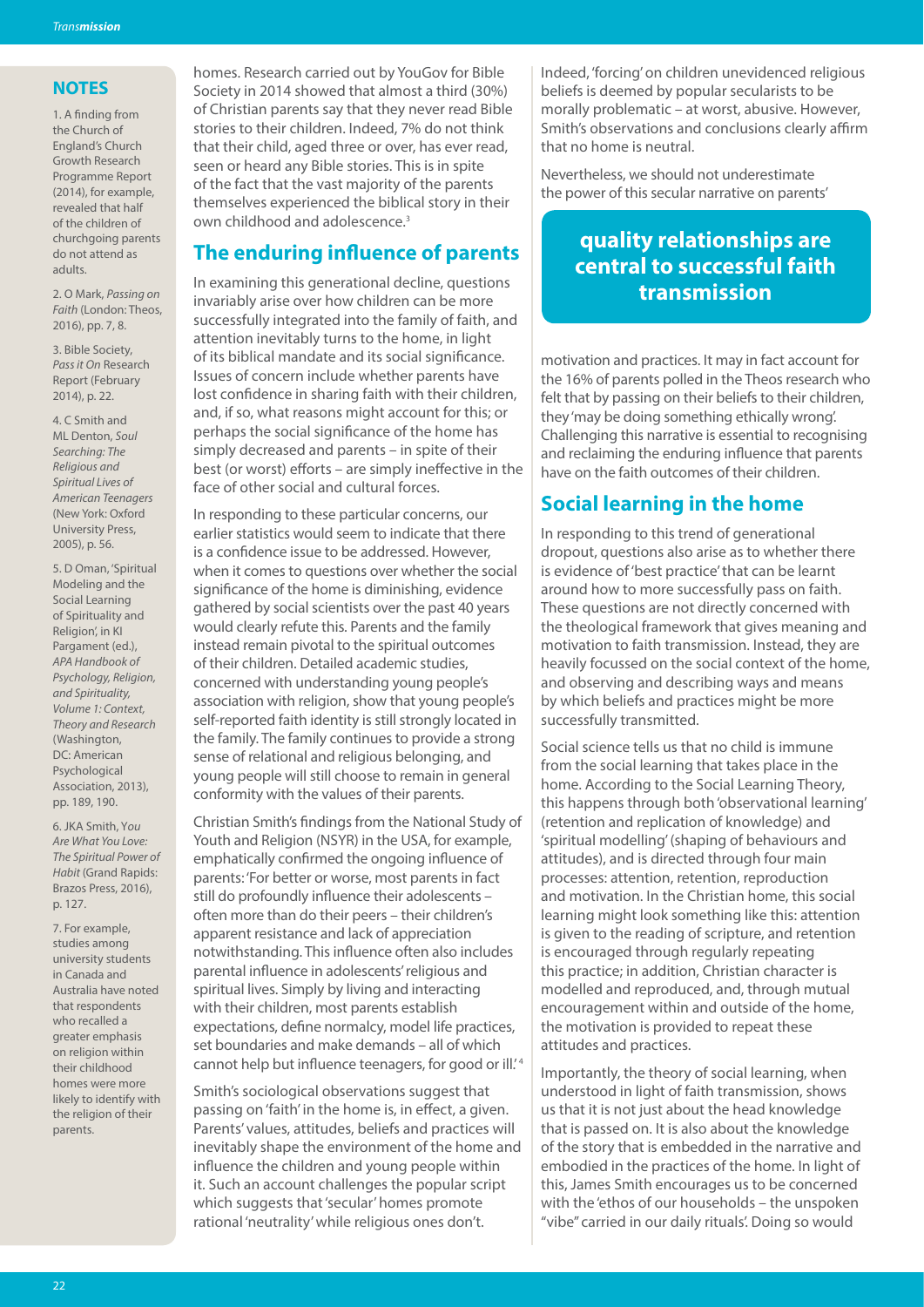#### **NOTES**

1. A finding from the Church of England's Church Growth Research Programme Report (2014), for example, revealed that half of the children of churchgoing parents do not attend as adults.

2. O Mark, *Passing on Faith* (London: Theos, 2016), pp. 7, 8.

3. Bible Society, *Pass it On* Research Report (February 2014), p. 22.

4. C Smith and ML Denton, *Soul Searching: The Religious and Spiritual Lives of American Teenagers* (New York: Oxford University Press, 2005), p. 56.

5. D Oman, 'Spiritual Modeling and the Social Learning of Spirituality and Religion', in KI Pargament (ed.), *APA Handbook of Psychology, Religion, and Spirituality, Volume 1: Context, Theory and Research* (Washington, DC: American Psychological Association, 2013), pp. 189, 190.

6. JKA Smith, Y*ou Are What You Love: The Spiritual Power of Habit* (Grand Rapids: Brazos Press, 2016), p. 127.

7. For example, studies among university students in Canada and Australia have noted that respondents who recalled a greater emphasis on religion within their childhood homes were more likely to identify with the religion of their parents.

homes. Research carried out by YouGov for Bible Society in 2014 showed that almost a third (30%) of Christian parents say that they never read Bible stories to their children. Indeed, 7% do not think that their child, aged three or over, has ever read, seen or heard any Bible stories. This is in spite of the fact that the vast majority of the parents themselves experienced the biblical story in their own childhood and adolescence.<sup>3</sup>

# **The enduring influence of parents**

In examining this generational decline, questions invariably arise over how children can be more successfully integrated into the family of faith, and attention inevitably turns to the home, in light of its biblical mandate and its social significance. Issues of concern include whether parents have lost confidence in sharing faith with their children, and, if so, what reasons might account for this; or perhaps the social significance of the home has simply decreased and parents – in spite of their best (or worst) efforts – are simply ineffective in the face of other social and cultural forces.

In responding to these particular concerns, our earlier statistics would seem to indicate that there is a confidence issue to be addressed. However, when it comes to questions over whether the social significance of the home is diminishing, evidence gathered by social scientists over the past 40 years would clearly refute this. Parents and the family instead remain pivotal to the spiritual outcomes of their children. Detailed academic studies, concerned with understanding young people's association with religion, show that young people's self-reported faith identity is still strongly located in the family. The family continues to provide a strong sense of relational and religious belonging, and young people will still choose to remain in general conformity with the values of their parents.

Christian Smith's findings from the National Study of Youth and Religion (NSYR) in the USA, for example, emphatically confirmed the ongoing influence of parents: 'For better or worse, most parents in fact still do profoundly influence their adolescents – often more than do their peers – their children's apparent resistance and lack of appreciation notwithstanding. This influence often also includes parental influence in adolescents' religious and spiritual lives. Simply by living and interacting with their children, most parents establish expectations, define normalcy, model life practices, set boundaries and make demands – all of which cannot help but influence teenagers, for good or ill.<sup>4</sup>

Smith's sociological observations suggest that passing on 'faith' in the home is, in effect, a given. Parents' values, attitudes, beliefs and practices will inevitably shape the environment of the home and influence the children and young people within it. Such an account challenges the popular script which suggests that 'secular' homes promote rational 'neutrality' while religious ones don't.

Indeed, 'forcing' on children unevidenced religious beliefs is deemed by popular secularists to be morally problematic – at worst, abusive. However, Smith's observations and conclusions clearly affirm that no home is neutral.

Nevertheless, we should not underestimate the power of this secular narrative on parents'

# **quality relationships are central to successful faith transmission**

motivation and practices. It may in fact account for the 16% of parents polled in the Theos research who felt that by passing on their beliefs to their children, they 'may be doing something ethically wrong'. Challenging this narrative is essential to recognising and reclaiming the enduring influence that parents have on the faith outcomes of their children.

# **Social learning in the home**

In responding to this trend of generational dropout, questions also arise as to whether there is evidence of 'best practice' that can be learnt around how to more successfully pass on faith. These questions are not directly concerned with the theological framework that gives meaning and motivation to faith transmission. Instead, they are heavily focussed on the social context of the home, and observing and describing ways and means by which beliefs and practices might be more successfully transmitted.

Social science tells us that no child is immune from the social learning that takes place in the home. According to the Social Learning Theory, this happens through both 'observational learning' (retention and replication of knowledge) and 'spiritual modelling' (shaping of behaviours and attitudes), and is directed through four main processes: attention, retention, reproduction and motivation. In the Christian home, this social learning might look something like this: attention is given to the reading of scripture, and retention is encouraged through regularly repeating this practice; in addition, Christian character is modelled and reproduced, and, through mutual encouragement within and outside of the home, the motivation is provided to repeat these attitudes and practices.

Importantly, the theory of social learning, when understood in light of faith transmission, shows us that it is not just about the head knowledge that is passed on. It is also about the knowledge of the story that is embedded in the narrative and embodied in the practices of the home. In light of this, James Smith encourages us to be concerned with the 'ethos of our households – the unspoken "vibe" carried in our daily rituals'. Doing so would